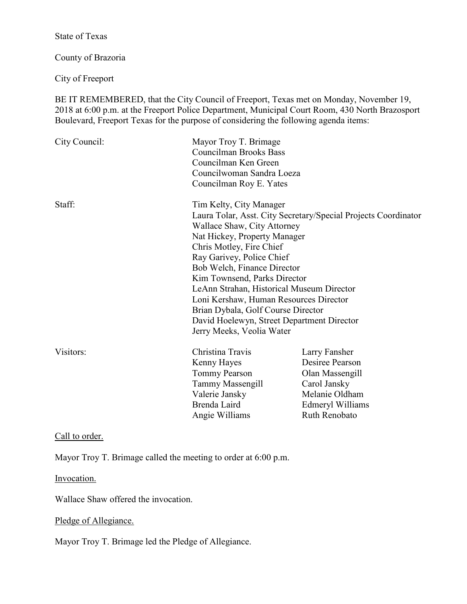State of Texas

County of Brazoria

City of Freeport

BE IT REMEMBERED, that the City Council of Freeport, Texas met on Monday, November 19, 2018 at 6:00 p.m. at the Freeport Police Department, Municipal Court Room, 430 North Brazosport Boulevard, Freeport Texas for the purpose of considering the following agenda items:

| City Council: | Mayor Troy T. Brimage<br><b>Councilman Brooks Bass</b><br>Councilman Ken Green<br>Councilwoman Sandra Loeza<br>Councilman Roy E. Yates                                                                                                                                                                                                                                                                                 |                                                                                                                            |
|---------------|------------------------------------------------------------------------------------------------------------------------------------------------------------------------------------------------------------------------------------------------------------------------------------------------------------------------------------------------------------------------------------------------------------------------|----------------------------------------------------------------------------------------------------------------------------|
| Staff:        | Tim Kelty, City Manager<br>Wallace Shaw, City Attorney<br>Nat Hickey, Property Manager<br>Chris Motley, Fire Chief<br>Ray Garivey, Police Chief<br>Bob Welch, Finance Director<br>Kim Townsend, Parks Director<br>LeAnn Strahan, Historical Museum Director<br>Loni Kershaw, Human Resources Director<br>Brian Dybala, Golf Course Director<br>David Hoelewyn, Street Department Director<br>Jerry Meeks, Veolia Water | Laura Tolar, Asst. City Secretary/Special Projects Coordinator                                                             |
| Visitors:     | Christina Travis<br>Kenny Hayes<br><b>Tommy Pearson</b><br>Tammy Massengill<br>Valerie Jansky<br>Brenda Laird<br>Angie Williams                                                                                                                                                                                                                                                                                        | Larry Fansher<br>Desiree Pearson<br>Olan Massengill<br>Carol Jansky<br>Melanie Oldham<br>Edmeryl Williams<br>Ruth Renobato |

Call to order.

Mayor Troy T. Brimage called the meeting to order at 6:00 p.m.

Invocation.

Wallace Shaw offered the invocation.

# Pledge of Allegiance.

Mayor Troy T. Brimage led the Pledge of Allegiance.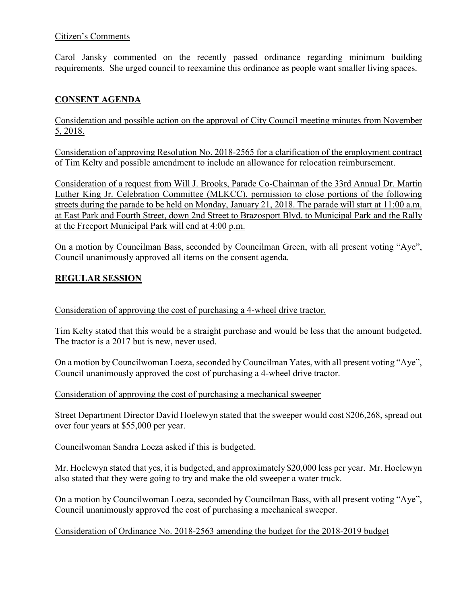### Citizen's Comments

Carol Jansky commented on the recently passed ordinance regarding minimum building requirements. She urged council to reexamine this ordinance as people want smaller living spaces.

# **CONSENT AGENDA**

Consideration and possible action on the approval of City Council meeting minutes from November 5, 2018.

Consideration of approving Resolution No. 2018-2565 for a clarification of the employment contract of Tim Kelty and possible amendment to include an allowance for relocation reimbursement.

Consideration of a request from Will J. Brooks, Parade Co-Chairman of the 33rd Annual Dr. Martin Luther King Jr. Celebration Committee (MLKCC), permission to close portions of the following streets during the parade to be held on Monday, January 21, 2018. The parade will start at 11:00 a.m. at East Park and Fourth Street, down 2nd Street to Brazosport Blvd. to Municipal Park and the Rally at the Freeport Municipal Park will end at 4:00 p.m.

On a motion by Councilman Bass, seconded by Councilman Green, with all present voting "Aye", Council unanimously approved all items on the consent agenda.

# **REGULAR SESSION**

Consideration of approving the cost of purchasing a 4-wheel drive tractor.

Tim Kelty stated that this would be a straight purchase and would be less that the amount budgeted. The tractor is a 2017 but is new, never used.

On a motion by Councilwoman Loeza, seconded by Councilman Yates, with all present voting "Aye", Council unanimously approved the cost of purchasing a 4-wheel drive tractor.

Consideration of approving the cost of purchasing a mechanical sweeper

Street Department Director David Hoelewyn stated that the sweeper would cost \$206,268, spread out over four years at \$55,000 per year.

Councilwoman Sandra Loeza asked if this is budgeted.

Mr. Hoelewyn stated that yes, it is budgeted, and approximately \$20,000 less per year. Mr. Hoelewyn also stated that they were going to try and make the old sweeper a water truck.

On a motion by Councilwoman Loeza, seconded by Councilman Bass, with all present voting "Aye", Council unanimously approved the cost of purchasing a mechanical sweeper.

### Consideration of Ordinance No. 2018-2563 amending the budget for the 2018-2019 budget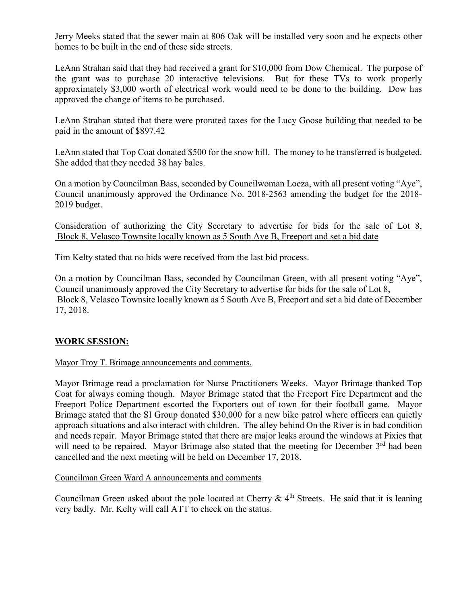Jerry Meeks stated that the sewer main at 806 Oak will be installed very soon and he expects other homes to be built in the end of these side streets.

LeAnn Strahan said that they had received a grant for \$10,000 from Dow Chemical. The purpose of the grant was to purchase 20 interactive televisions. But for these TVs to work properly approximately \$3,000 worth of electrical work would need to be done to the building. Dow has approved the change of items to be purchased.

LeAnn Strahan stated that there were prorated taxes for the Lucy Goose building that needed to be paid in the amount of \$897.42

LeAnn stated that Top Coat donated \$500 for the snow hill. The money to be transferred is budgeted. She added that they needed 38 hay bales.

On a motion by Councilman Bass, seconded by Councilwoman Loeza, with all present voting "Aye", Council unanimously approved the Ordinance No. 2018-2563 amending the budget for the 2018- 2019 budget.

Consideration of authorizing the City Secretary to advertise for bids for the sale of Lot 8, Block 8, Velasco Townsite locally known as 5 South Ave B, Freeport and set a bid date

Tim Kelty stated that no bids were received from the last bid process.

On a motion by Councilman Bass, seconded by Councilman Green, with all present voting "Aye", Council unanimously approved the City Secretary to advertise for bids for the sale of Lot 8, Block 8, Velasco Townsite locally known as 5 South Ave B, Freeport and set a bid date of December 17, 2018.

# **WORK SESSION:**

### Mayor Troy T. Brimage announcements and comments.

Mayor Brimage read a proclamation for Nurse Practitioners Weeks. Mayor Brimage thanked Top Coat for always coming though. Mayor Brimage stated that the Freeport Fire Department and the Freeport Police Department escorted the Exporters out of town for their football game. Mayor Brimage stated that the SI Group donated \$30,000 for a new bike patrol where officers can quietly approach situations and also interact with children. The alley behind On the River is in bad condition and needs repair. Mayor Brimage stated that there are major leaks around the windows at Pixies that will need to be repaired. Mayor Brimage also stated that the meeting for December 3<sup>rd</sup> had been cancelled and the next meeting will be held on December 17, 2018.

Councilman Green Ward A announcements and comments

Councilman Green asked about the pole located at Cherry  $\& 4<sup>th</sup>$  Streets. He said that it is leaning very badly. Mr. Kelty will call ATT to check on the status.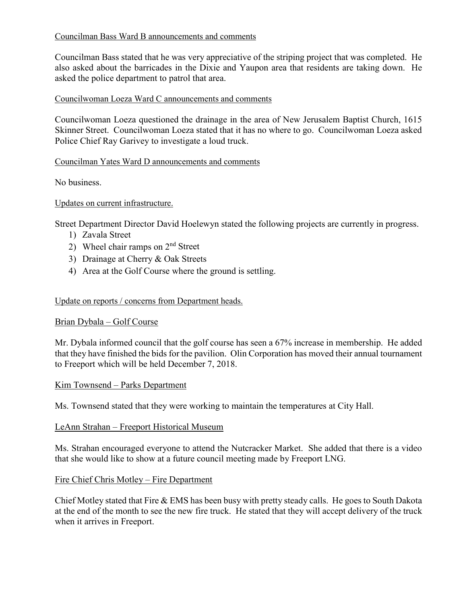# Councilman Bass Ward B announcements and comments

Councilman Bass stated that he was very appreciative of the striping project that was completed. He also asked about the barricades in the Dixie and Yaupon area that residents are taking down. He asked the police department to patrol that area.

### Councilwoman Loeza Ward C announcements and comments

Councilwoman Loeza questioned the drainage in the area of New Jerusalem Baptist Church, 1615 Skinner Street. Councilwoman Loeza stated that it has no where to go. Councilwoman Loeza asked Police Chief Ray Garivey to investigate a loud truck.

### Councilman Yates Ward D announcements and comments

No business.

### Updates on current infrastructure.

Street Department Director David Hoelewyn stated the following projects are currently in progress.

- 1) Zavala Street
- 2) Wheel chair ramps on  $2<sup>nd</sup>$  Street
- 3) Drainage at Cherry & Oak Streets
- 4) Area at the Golf Course where the ground is settling.

### Update on reports / concerns from Department heads.

### Brian Dybala – Golf Course

Mr. Dybala informed council that the golf course has seen a 67% increase in membership. He added that they have finished the bids for the pavilion. Olin Corporation has moved their annual tournament to Freeport which will be held December 7, 2018.

### Kim Townsend – Parks Department

Ms. Townsend stated that they were working to maintain the temperatures at City Hall.

### LeAnn Strahan – Freeport Historical Museum

Ms. Strahan encouraged everyone to attend the Nutcracker Market. She added that there is a video that she would like to show at a future council meeting made by Freeport LNG.

### Fire Chief Chris Motley – Fire Department

Chief Motley stated that Fire & EMS has been busy with pretty steady calls. He goes to South Dakota at the end of the month to see the new fire truck. He stated that they will accept delivery of the truck when it arrives in Freeport.